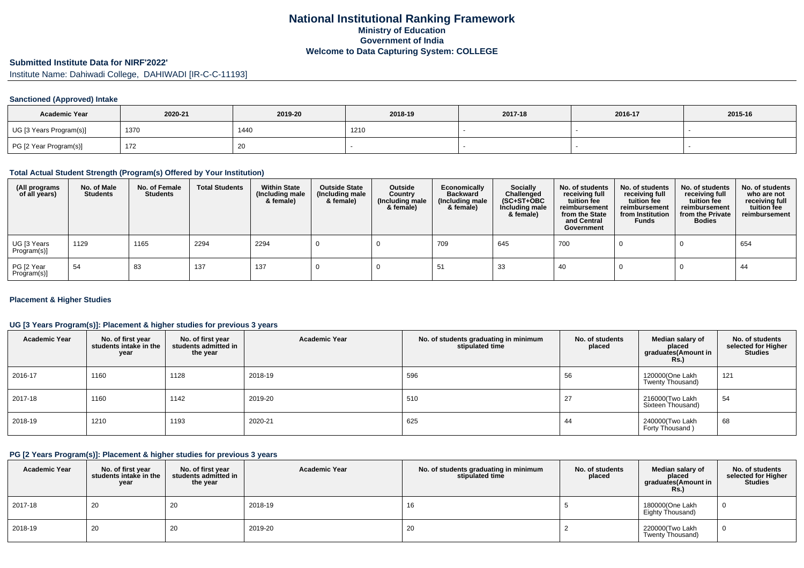# **National Institutional Ranking FrameworkMinistry of Education Government of IndiaWelcome to Data Capturing System: COLLEGE**

# **Submitted Institute Data for NIRF'2022'**

Institute Name: Dahiwadi College, DAHIWADI [IR-C-C-11193]

## **Sanctioned (Approved) Intake**

| <b>Academic Year</b>    | 2020-21 | 2019-20 | 2018-19 | 2017-18 | 2016-17 | 2015-16 |
|-------------------------|---------|---------|---------|---------|---------|---------|
| UG [3 Years Program(s)] | 1370    | 1440    | 1210    |         |         |         |
| PG [2 Year Program(s)]  | 172     | 20      |         |         |         |         |

# **Total Actual Student Strength (Program(s) Offered by Your Institution)**

| (All programs<br>of all years) | No. of Male<br><b>Students</b> | No. of Female<br><b>Students</b> | <b>Total Students</b> | <b>Within State</b><br>(Including male<br>& female) | <b>Outside State</b><br>(Including male<br>& female) | Outside<br>Country<br>(Including male<br>& female) | Economically<br><b>Backward</b><br>(Including male<br>& female) | <b>Socially</b><br>Challenged<br>$(SC+ST+OBC)$<br>Including male<br>& female) | No. of students<br>receiving full<br>tuition fee<br>reimbursement<br>from the State<br>and Central<br>Government | No. of students<br>receiving full<br>tuition fee<br>reimbursement<br>from Institution<br><b>Funds</b> | No. of students<br>receiving full<br>tuition fee<br>reimbursement<br>from the Private<br><b>Bodies</b> | No. of students<br>who are not<br>receiving full<br>tuition fee<br>reimbursement |
|--------------------------------|--------------------------------|----------------------------------|-----------------------|-----------------------------------------------------|------------------------------------------------------|----------------------------------------------------|-----------------------------------------------------------------|-------------------------------------------------------------------------------|------------------------------------------------------------------------------------------------------------------|-------------------------------------------------------------------------------------------------------|--------------------------------------------------------------------------------------------------------|----------------------------------------------------------------------------------|
| UG [3 Years<br>Program(s)]     | 1129                           | 1165                             | 2294                  | 2294                                                |                                                      |                                                    | 709                                                             | 645                                                                           | 700                                                                                                              |                                                                                                       |                                                                                                        | 654                                                                              |
| PG [2 Year<br>Program(s)]      | 54                             | 83                               | 137                   | 137                                                 |                                                      |                                                    |                                                                 | 33                                                                            | 40                                                                                                               |                                                                                                       |                                                                                                        | 44                                                                               |

## **Placement & Higher Studies**

# **UG [3 Years Program(s)]: Placement & higher studies for previous 3 years**

| <b>Academic Year</b> | No. of first year<br>students intake in the<br>year | No. of first year<br>students admitted in<br>the year | <b>Academic Year</b> | No. of students graduating in minimum<br>stipulated time | No. of students<br>placed | Median salary of<br>placed<br>graduates(Amount in<br>Rs. | No. of students<br>selected for Higher<br><b>Studies</b> |
|----------------------|-----------------------------------------------------|-------------------------------------------------------|----------------------|----------------------------------------------------------|---------------------------|----------------------------------------------------------|----------------------------------------------------------|
| 2016-17              | 1160                                                | 1128                                                  | 2018-19              | 596                                                      | 56                        | 120000(One Lakh<br>Twenty Thousand)                      | 121                                                      |
| 2017-18              | 1160                                                | 1142                                                  | 2019-20              | 510                                                      | 27                        | 216000(Two Lakh<br>Sixteen Thousand)                     | 54                                                       |
| 2018-19              | 1210                                                | 1193                                                  | 2020-21              | 625                                                      | 44                        | 240000(Two Lakh<br>Forty Thousand)                       | 68                                                       |

# **PG [2 Years Program(s)]: Placement & higher studies for previous 3 years**

| <b>Academic Year</b> | No. of first year<br>students intake in the<br>year | No. of first vear<br>students admitted in<br>the year | <b>Academic Year</b> | No. of students graduating in minimum<br>stipulated time | No. of students<br>placed | Median salary of<br>placed<br>graduates(Amount in<br>Rs.) | No. of students<br>selected for Higher<br><b>Studies</b> |
|----------------------|-----------------------------------------------------|-------------------------------------------------------|----------------------|----------------------------------------------------------|---------------------------|-----------------------------------------------------------|----------------------------------------------------------|
| 2017-18              | 20                                                  | 20                                                    | 2018-19              | 16                                                       |                           | 180000(One Lakh<br>Eighty Thousand)                       |                                                          |
| 2018-19              | 20                                                  | 20                                                    | 2019-20              | 20                                                       |                           | 220000(Two Lakh<br>Twenty Thousand)                       |                                                          |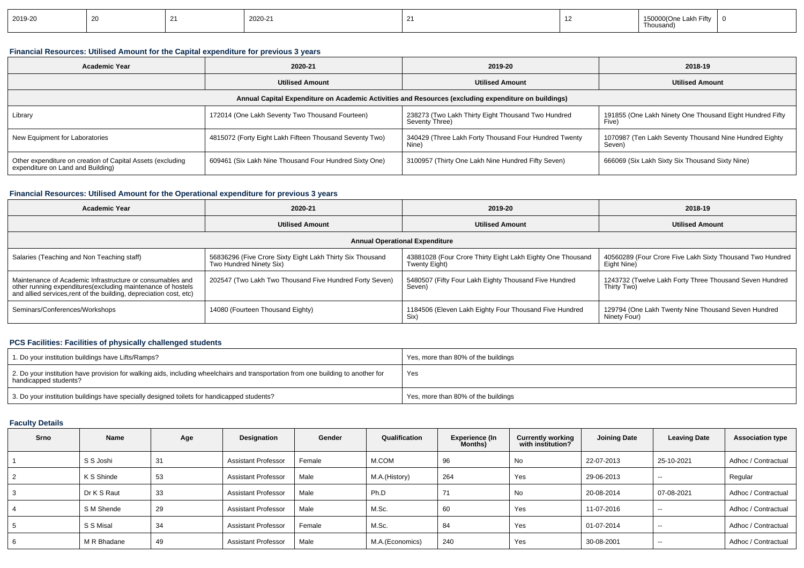| 2019-20 |  |  | 2020-21 |  |  | . Une<br><b>FILL</b><br>$-an.$<br>Thousand) |  |
|---------|--|--|---------|--|--|---------------------------------------------|--|
|---------|--|--|---------|--|--|---------------------------------------------|--|

## **Financial Resources: Utilised Amount for the Capital expenditure for previous 3 years**

| <b>Academic Year</b>                                                                                 | 2020-21                                                 | 2019-20                                                              | 2018-19                                                           |  |  |  |  |  |  |  |
|------------------------------------------------------------------------------------------------------|---------------------------------------------------------|----------------------------------------------------------------------|-------------------------------------------------------------------|--|--|--|--|--|--|--|
|                                                                                                      | <b>Utilised Amount</b>                                  | <b>Utilised Amount</b>                                               | <b>Utilised Amount</b>                                            |  |  |  |  |  |  |  |
| Annual Capital Expenditure on Academic Activities and Resources (excluding expenditure on buildings) |                                                         |                                                                      |                                                                   |  |  |  |  |  |  |  |
| Library                                                                                              | 172014 (One Lakh Seventy Two Thousand Fourteen)         | 238273 (Two Lakh Thirty Eight Thousand Two Hundred<br>Seventy Three) | 191855 (One Lakh Ninety One Thousand Eight Hundred Fifty<br>Five) |  |  |  |  |  |  |  |
| New Equipment for Laboratories                                                                       | 4815072 (Forty Eight Lakh Fifteen Thousand Seventy Two) | 340429 (Three Lakh Forty Thousand Four Hundred Twenty<br>Nine)       | 1070987 (Ten Lakh Seventy Thousand Nine Hundred Eighty<br>Seven)  |  |  |  |  |  |  |  |
| Other expenditure on creation of Capital Assets (excluding<br>expenditure on Land and Building)      | 609461 (Six Lakh Nine Thousand Four Hundred Sixty One)  | 3100957 (Thirty One Lakh Nine Hundred Fifty Seven)                   | 666069 (Six Lakh Sixty Six Thousand Sixty Nine)                   |  |  |  |  |  |  |  |

## **Financial Resources: Utilised Amount for the Operational expenditure for previous 3 years**

| <b>Academic Year</b>                                                                                                                                                                            | 2020-21                                                                              | 2019-20                                                                     | 2018-19                                                                  |  |  |  |  |  |  |
|-------------------------------------------------------------------------------------------------------------------------------------------------------------------------------------------------|--------------------------------------------------------------------------------------|-----------------------------------------------------------------------------|--------------------------------------------------------------------------|--|--|--|--|--|--|
|                                                                                                                                                                                                 | <b>Utilised Amount</b>                                                               | <b>Utilised Amount</b>                                                      | <b>Utilised Amount</b>                                                   |  |  |  |  |  |  |
| <b>Annual Operational Expenditure</b>                                                                                                                                                           |                                                                                      |                                                                             |                                                                          |  |  |  |  |  |  |
| Salaries (Teaching and Non Teaching staff)                                                                                                                                                      | 56836296 (Five Crore Sixty Eight Lakh Thirty Six Thousand<br>Two Hundred Ninety Six) | 43881028 (Four Crore Thirty Eight Lakh Eighty One Thousand<br>Twenty Eight) | 40560289 (Four Crore Five Lakh Sixty Thousand Two Hundred<br>Eight Nine) |  |  |  |  |  |  |
| Maintenance of Academic Infrastructure or consumables and<br>other running expenditures (excluding maintenance of hostels<br>and allied services, rent of the building, depreciation cost, etc) | 202547 (Two Lakh Two Thousand Five Hundred Forty Seven)                              | 5480507 (Fifty Four Lakh Eighty Thousand Five Hundred<br>Seven)             | 1243732 (Twelve Lakh Forty Three Thousand Seven Hundred<br>Thirty Two)   |  |  |  |  |  |  |
| Seminars/Conferences/Workshops                                                                                                                                                                  | 14080 (Fourteen Thousand Eighty)                                                     | 1184506 (Eleven Lakh Eighty Four Thousand Five Hundred<br>Six)              | 129794 (One Lakh Twenty Nine Thousand Seven Hundred<br>Ninety Four)      |  |  |  |  |  |  |

## **PCS Facilities: Facilities of physically challenged students**

| 1. Do your institution buildings have Lifts/Ramps?                                                                                                         | Yes, more than 80% of the buildings |
|------------------------------------------------------------------------------------------------------------------------------------------------------------|-------------------------------------|
| 2. Do your institution have provision for walking aids, including wheelchairs and transportation from one building to another for<br>handicapped students? | Yes                                 |
| 3. Do your institution buildings have specially designed toilets for handicapped students?                                                                 | Yes, more than 80% of the buildings |

# **Faculty Details**

| Srno | Name        | Age | Designation                | Gender | Qualification    | <b>Experience (In</b><br>Months) | <b>Currently working</b><br>with institution? | Joining Date | <b>Leaving Date</b> | <b>Association type</b> |
|------|-------------|-----|----------------------------|--------|------------------|----------------------------------|-----------------------------------------------|--------------|---------------------|-------------------------|
|      | S S Joshi   | 31  | <b>Assistant Professor</b> | Female | M.COM            | 96                               | No                                            | 22-07-2013   | 25-10-2021          | Adhoc / Contractual     |
|      | K S Shinde  | 53  | <b>Assistant Professor</b> | Male   | M.A.(History)    | 264                              | Yes                                           | 29-06-2013   | $\sim$ $\sim$       | Regular                 |
|      | Dr K S Raut | 33  | <b>Assistant Professor</b> | Male   | Ph.D             | 71                               | <b>No</b>                                     | 20-08-2014   | 07-08-2021          | Adhoc / Contractual     |
|      | S M Shende  | 29  | <b>Assistant Professor</b> | Male   | M.Sc.            | 60                               | Yes                                           | 11-07-2016   | $- -$               | Adhoc / Contractual     |
|      | S S Misal   | 34  | <b>Assistant Professor</b> | Female | M.Sc.            | 84                               | Yes                                           | 01-07-2014   | $-$                 | Adhoc / Contractual     |
|      | M R Bhadane | 49  | <b>Assistant Professor</b> | Male   | M.A. (Economics) | 240                              | Yes                                           | 30-08-2001   | $- -$               | Adhoc / Contractual     |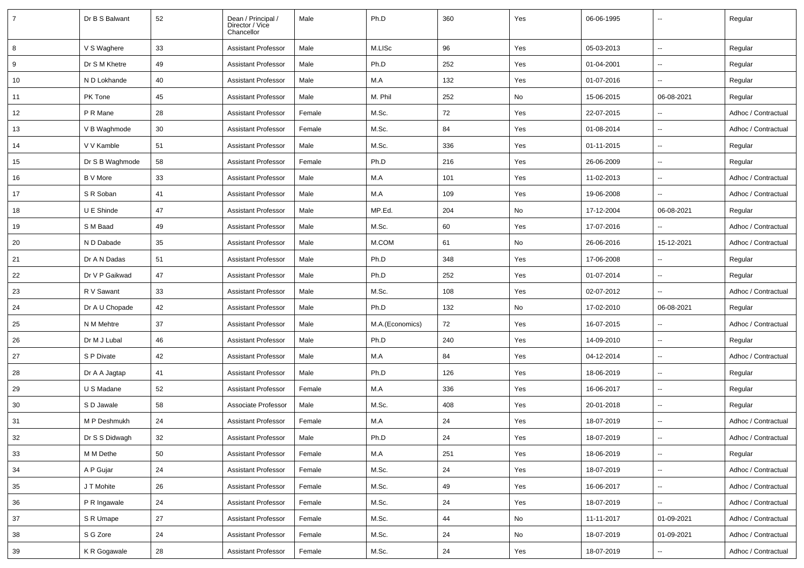| $\overline{7}$ | Dr B S Balwant  | 52 | Dean / Principal /<br>Director / Vice<br>Chancellor | Male   | Ph.D            | 360 | Yes | 06-06-1995 | $\overline{\phantom{a}}$ | Regular             |
|----------------|-----------------|----|-----------------------------------------------------|--------|-----------------|-----|-----|------------|--------------------------|---------------------|
| 8              | V S Waghere     | 33 | <b>Assistant Professor</b>                          | Male   | M.LISc          | 96  | Yes | 05-03-2013 | $\ddot{\phantom{a}}$     | Regular             |
| 9              | Dr S M Khetre   | 49 | <b>Assistant Professor</b>                          | Male   | Ph.D            | 252 | Yes | 01-04-2001 | $\sim$                   | Regular             |
| 10             | N D Lokhande    | 40 | Assistant Professor                                 | Male   | M.A             | 132 | Yes | 01-07-2016 | $\overline{\phantom{a}}$ | Regular             |
| 11             | PK Tone         | 45 | <b>Assistant Professor</b>                          | Male   | M. Phil         | 252 | No  | 15-06-2015 | 06-08-2021               | Regular             |
| 12             | P R Mane        | 28 | <b>Assistant Professor</b>                          | Female | M.Sc.           | 72  | Yes | 22-07-2015 | $\overline{\phantom{a}}$ | Adhoc / Contractual |
| 13             | V B Waghmode    | 30 | <b>Assistant Professor</b>                          | Female | M.Sc.           | 84  | Yes | 01-08-2014 | $\overline{\phantom{a}}$ | Adhoc / Contractual |
| 14             | V V Kamble      | 51 | Assistant Professor                                 | Male   | M.Sc.           | 336 | Yes | 01-11-2015 | $\overline{\phantom{a}}$ | Regular             |
| 15             | Dr S B Waghmode | 58 | <b>Assistant Professor</b>                          | Female | Ph.D            | 216 | Yes | 26-06-2009 | $\overline{\phantom{a}}$ | Regular             |
| 16             | <b>B</b> V More | 33 | Assistant Professor                                 | Male   | M.A             | 101 | Yes | 11-02-2013 | $\overline{\phantom{a}}$ | Adhoc / Contractual |
| 17             | S R Soban       | 41 | <b>Assistant Professor</b>                          | Male   | M.A             | 109 | Yes | 19-06-2008 | $\sim$                   | Adhoc / Contractual |
| 18             | U E Shinde      | 47 | <b>Assistant Professor</b>                          | Male   | MP.Ed.          | 204 | No  | 17-12-2004 | 06-08-2021               | Regular             |
| 19             | S M Baad        | 49 | <b>Assistant Professor</b>                          | Male   | M.Sc.           | 60  | Yes | 17-07-2016 |                          | Adhoc / Contractual |
| 20             | N D Dabade      | 35 | <b>Assistant Professor</b>                          | Male   | M.COM           | 61  | No  | 26-06-2016 | 15-12-2021               | Adhoc / Contractual |
| 21             | Dr A N Dadas    | 51 | Assistant Professor                                 | Male   | Ph.D            | 348 | Yes | 17-06-2008 | $\overline{\phantom{a}}$ | Regular             |
| 22             | Dr V P Gaikwad  | 47 | <b>Assistant Professor</b>                          | Male   | Ph.D            | 252 | Yes | 01-07-2014 | $\overline{\phantom{a}}$ | Regular             |
| 23             | R V Sawant      | 33 | <b>Assistant Professor</b>                          | Male   | M.Sc.           | 108 | Yes | 02-07-2012 |                          | Adhoc / Contractual |
| 24             | Dr A U Chopade  | 42 | <b>Assistant Professor</b>                          | Male   | Ph.D            | 132 | No  | 17-02-2010 | 06-08-2021               | Regular             |
| 25             | N M Mehtre      | 37 | <b>Assistant Professor</b>                          | Male   | M.A.(Economics) | 72  | Yes | 16-07-2015 |                          | Adhoc / Contractual |
| 26             | Dr M J Lubal    | 46 | <b>Assistant Professor</b>                          | Male   | Ph.D            | 240 | Yes | 14-09-2010 | $\ddotsc$                | Regular             |
| 27             | S P Divate      | 42 | Assistant Professor                                 | Male   | M.A             | 84  | Yes | 04-12-2014 | $\overline{\phantom{a}}$ | Adhoc / Contractual |
| 28             | Dr A A Jagtap   | 41 | <b>Assistant Professor</b>                          | Male   | Ph.D            | 126 | Yes | 18-06-2019 | $\overline{\phantom{a}}$ | Regular             |
| 29             | U S Madane      | 52 | Assistant Professor                                 | Female | M.A             | 336 | Yes | 16-06-2017 | $\overline{\phantom{a}}$ | Regular             |
| 30             | S D Jawale      | 58 | Associate Professor                                 | Male   | M.Sc.           | 408 | Yes | 20-01-2018 | $\overline{\phantom{a}}$ | Regular             |
| 31             | M P Deshmukh    | 24 | <b>Assistant Professor</b>                          | Female | M.A             | 24  | Yes | 18-07-2019 | $\overline{\phantom{a}}$ | Adhoc / Contractual |
| 32             | Dr S S Didwagh  | 32 | Assistant Professor                                 | Male   | Ph.D            | 24  | Yes | 18-07-2019 |                          | Adhoc / Contractual |
| 33             | M M Dethe       | 50 | <b>Assistant Professor</b>                          | Female | M.A             | 251 | Yes | 18-06-2019 | Ξ.                       | Regular             |
| 34             | A P Gujar       | 24 | <b>Assistant Professor</b>                          | Female | M.Sc.           | 24  | Yes | 18-07-2019 | $\overline{\phantom{a}}$ | Adhoc / Contractual |
| 35             | J T Mohite      | 26 | Assistant Professor                                 | Female | M.Sc.           | 49  | Yes | 16-06-2017 | ۰.                       | Adhoc / Contractual |
| 36             | P R Ingawale    | 24 | <b>Assistant Professor</b>                          | Female | M.Sc.           | 24  | Yes | 18-07-2019 | $\overline{\phantom{a}}$ | Adhoc / Contractual |
| 37             | S R Umape       | 27 | <b>Assistant Professor</b>                          | Female | M.Sc.           | 44  | No  | 11-11-2017 | 01-09-2021               | Adhoc / Contractual |
| 38             | S G Zore        | 24 | <b>Assistant Professor</b>                          | Female | M.Sc.           | 24  | No  | 18-07-2019 | 01-09-2021               | Adhoc / Contractual |
| 39             | K R Gogawale    | 28 | <b>Assistant Professor</b>                          | Female | M.Sc.           | 24  | Yes | 18-07-2019 | $\overline{\phantom{a}}$ | Adhoc / Contractual |